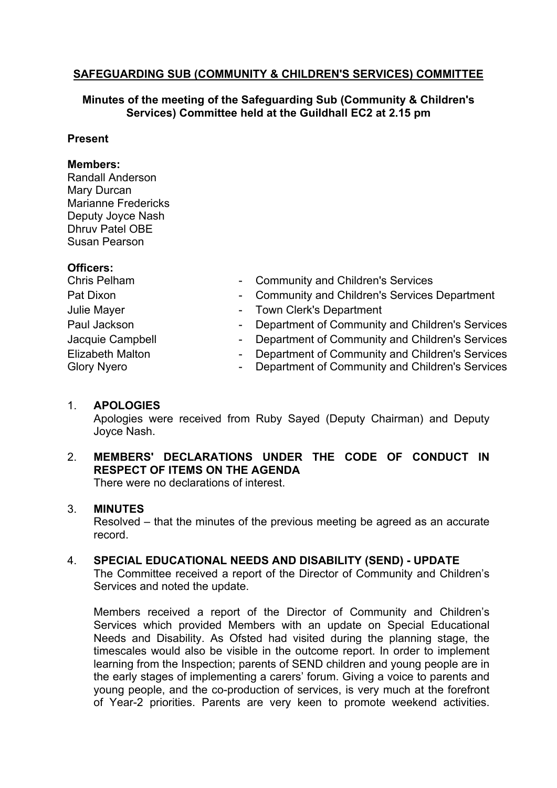# **SAFEGUARDING SUB (COMMUNITY & CHILDREN'S SERVICES) COMMITTEE**

## **Minutes of the meeting of the Safeguarding Sub (Community & Children's Services) Committee held at the Guildhall EC2 at 2.15 pm**

## **Present**

#### **Members:**

Randall Anderson Mary Durcan Marianne Fredericks Deputy Joyce Nash Dhruv Patel OBE Susan Pearson

## **Officers:**

| Chris Pelham       | - Community and Children's Services               |
|--------------------|---------------------------------------------------|
| Pat Dixon          | - Community and Children's Services Department    |
| Julie Mayer        | - Town Clerk's Department                         |
| Paul Jackson       | - Department of Community and Children's Services |
| Jacquie Campbell   | - Department of Community and Children's Services |
| Elizabeth Malton   | - Department of Community and Children's Services |
| <b>Glory Nyero</b> | - Department of Community and Children's Services |

# 1. **APOLOGIES**

Apologies were received from Ruby Sayed (Deputy Chairman) and Deputy Joyce Nash.

# 2. **MEMBERS' DECLARATIONS UNDER THE CODE OF CONDUCT IN RESPECT OF ITEMS ON THE AGENDA**

There were no declarations of interest.

# 3. **MINUTES**

Resolved – that the minutes of the previous meeting be agreed as an accurate record.

# 4. **SPECIAL EDUCATIONAL NEEDS AND DISABILITY (SEND) - UPDATE**

The Committee received a report of the Director of Community and Children's Services and noted the update.

Members received a report of the Director of Community and Children's Services which provided Members with an update on Special Educational Needs and Disability. As Ofsted had visited during the planning stage, the timescales would also be visible in the outcome report. In order to implement learning from the Inspection; parents of SEND children and young people are in the early stages of implementing a carers' forum. Giving a voice to parents and young people, and the co-production of services, is very much at the forefront of Year-2 priorities. Parents are very keen to promote weekend activities.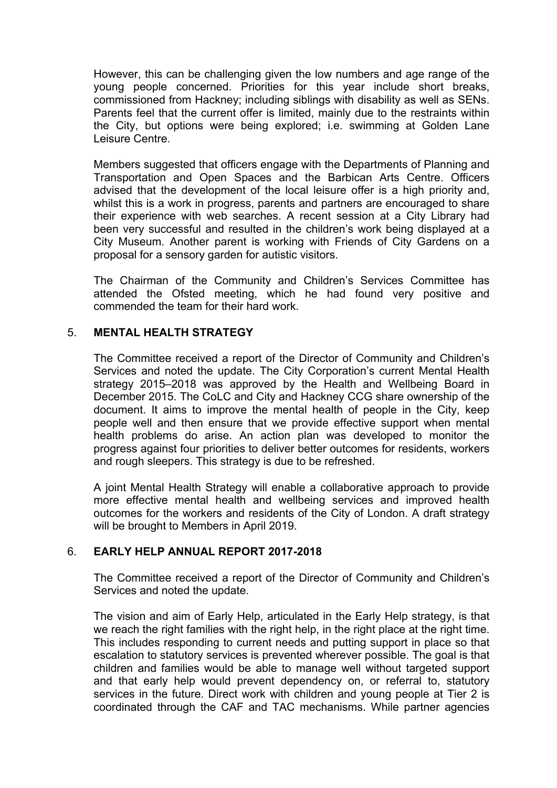However, this can be challenging given the low numbers and age range of the young people concerned. Priorities for this year include short breaks, commissioned from Hackney; including siblings with disability as well as SENs. Parents feel that the current offer is limited, mainly due to the restraints within the City, but options were being explored; i.e. swimming at Golden Lane Leisure Centre.

Members suggested that officers engage with the Departments of Planning and Transportation and Open Spaces and the Barbican Arts Centre. Officers advised that the development of the local leisure offer is a high priority and, whilst this is a work in progress, parents and partners are encouraged to share their experience with web searches. A recent session at a City Library had been very successful and resulted in the children's work being displayed at a City Museum. Another parent is working with Friends of City Gardens on a proposal for a sensory garden for autistic visitors.

The Chairman of the Community and Children's Services Committee has attended the Ofsted meeting, which he had found very positive and commended the team for their hard work.

## 5. **MENTAL HEALTH STRATEGY**

The Committee received a report of the Director of Community and Children's Services and noted the update. The City Corporation's current Mental Health strategy 2015–2018 was approved by the Health and Wellbeing Board in December 2015. The CoLC and City and Hackney CCG share ownership of the document. It aims to improve the mental health of people in the City, keep people well and then ensure that we provide effective support when mental health problems do arise. An action plan was developed to monitor the progress against four priorities to deliver better outcomes for residents, workers and rough sleepers. This strategy is due to be refreshed.

A joint Mental Health Strategy will enable a collaborative approach to provide more effective mental health and wellbeing services and improved health outcomes for the workers and residents of the City of London. A draft strategy will be brought to Members in April 2019.

#### 6. **EARLY HELP ANNUAL REPORT 2017-2018**

The Committee received a report of the Director of Community and Children's Services and noted the update.

The vision and aim of Early Help, articulated in the Early Help strategy, is that we reach the right families with the right help, in the right place at the right time. This includes responding to current needs and putting support in place so that escalation to statutory services is prevented wherever possible. The goal is that children and families would be able to manage well without targeted support and that early help would prevent dependency on, or referral to, statutory services in the future. Direct work with children and young people at Tier 2 is coordinated through the CAF and TAC mechanisms. While partner agencies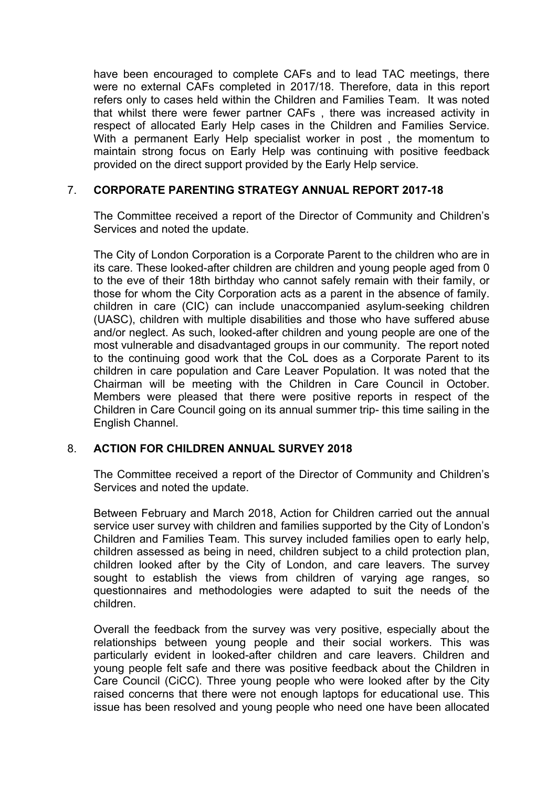have been encouraged to complete CAFs and to lead TAC meetings, there were no external CAFs completed in 2017/18. Therefore, data in this report refers only to cases held within the Children and Families Team. It was noted that whilst there were fewer partner CAFs , there was increased activity in respect of allocated Early Help cases in the Children and Families Service. With a permanent Early Help specialist worker in post , the momentum to maintain strong focus on Early Help was continuing with positive feedback provided on the direct support provided by the Early Help service.

## 7. **CORPORATE PARENTING STRATEGY ANNUAL REPORT 2017-18**

The Committee received a report of the Director of Community and Children's Services and noted the update.

The City of London Corporation is a Corporate Parent to the children who are in its care. These looked-after children are children and young people aged from 0 to the eve of their 18th birthday who cannot safely remain with their family, or those for whom the City Corporation acts as a parent in the absence of family. children in care (CIC) can include unaccompanied asylum-seeking children (UASC), children with multiple disabilities and those who have suffered abuse and/or neglect. As such, looked-after children and young people are one of the most vulnerable and disadvantaged groups in our community. The report noted to the continuing good work that the CoL does as a Corporate Parent to its children in care population and Care Leaver Population. It was noted that the Chairman will be meeting with the Children in Care Council in October. Members were pleased that there were positive reports in respect of the Children in Care Council going on its annual summer trip- this time sailing in the English Channel.

#### 8. **ACTION FOR CHILDREN ANNUAL SURVEY 2018**

The Committee received a report of the Director of Community and Children's Services and noted the update.

Between February and March 2018, Action for Children carried out the annual service user survey with children and families supported by the City of London's Children and Families Team. This survey included families open to early help, children assessed as being in need, children subject to a child protection plan, children looked after by the City of London, and care leavers. The survey sought to establish the views from children of varying age ranges, so questionnaires and methodologies were adapted to suit the needs of the children.

Overall the feedback from the survey was very positive, especially about the relationships between young people and their social workers. This was particularly evident in looked-after children and care leavers. Children and young people felt safe and there was positive feedback about the Children in Care Council (CiCC). Three young people who were looked after by the City raised concerns that there were not enough laptops for educational use. This issue has been resolved and young people who need one have been allocated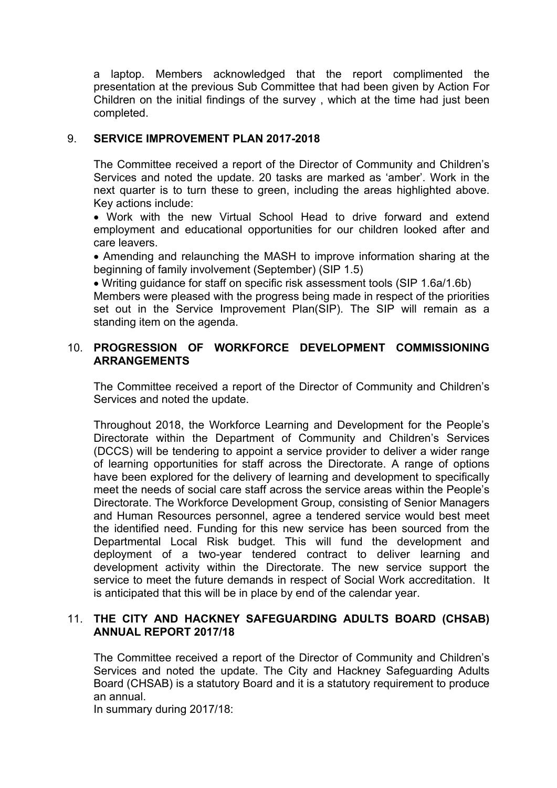a laptop. Members acknowledged that the report complimented the presentation at the previous Sub Committee that had been given by Action For Children on the initial findings of the survey , which at the time had just been completed.

### 9. **SERVICE IMPROVEMENT PLAN 2017-2018**

The Committee received a report of the Director of Community and Children's Services and noted the update. 20 tasks are marked as 'amber'. Work in the next quarter is to turn these to green, including the areas highlighted above. Key actions include:

 Work with the new Virtual School Head to drive forward and extend employment and educational opportunities for our children looked after and care leavers.

 Amending and relaunching the MASH to improve information sharing at the beginning of family involvement (September) (SIP 1.5)

 Writing guidance for staff on specific risk assessment tools (SIP 1.6a/1.6b) Members were pleased with the progress being made in respect of the priorities set out in the Service Improvement Plan(SIP). The SIP will remain as a standing item on the agenda.

## 10. **PROGRESSION OF WORKFORCE DEVELOPMENT COMMISSIONING ARRANGEMENTS**

The Committee received a report of the Director of Community and Children's Services and noted the update.

Throughout 2018, the Workforce Learning and Development for the People's Directorate within the Department of Community and Children's Services (DCCS) will be tendering to appoint a service provider to deliver a wider range of learning opportunities for staff across the Directorate. A range of options have been explored for the delivery of learning and development to specifically meet the needs of social care staff across the service areas within the People's Directorate. The Workforce Development Group, consisting of Senior Managers and Human Resources personnel, agree a tendered service would best meet the identified need. Funding for this new service has been sourced from the Departmental Local Risk budget. This will fund the development and deployment of a two-year tendered contract to deliver learning and development activity within the Directorate. The new service support the service to meet the future demands in respect of Social Work accreditation. It is anticipated that this will be in place by end of the calendar year.

#### 11. **THE CITY AND HACKNEY SAFEGUARDING ADULTS BOARD (CHSAB) ANNUAL REPORT 2017/18**

The Committee received a report of the Director of Community and Children's Services and noted the update. The City and Hackney Safeguarding Adults Board (CHSAB) is a statutory Board and it is a statutory requirement to produce an annual.

In summary during 2017/18: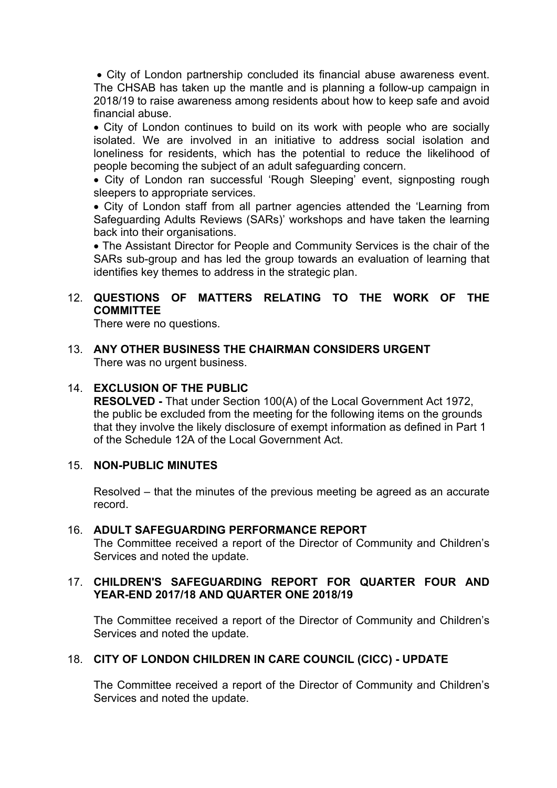City of London partnership concluded its financial abuse awareness event. The CHSAB has taken up the mantle and is planning a follow-up campaign in 2018/19 to raise awareness among residents about how to keep safe and avoid financial abuse.

• City of London continues to build on its work with people who are socially isolated. We are involved in an initiative to address social isolation and loneliness for residents, which has the potential to reduce the likelihood of people becoming the subject of an adult safeguarding concern.

 City of London ran successful 'Rough Sleeping' event, signposting rough sleepers to appropriate services.

 City of London staff from all partner agencies attended the 'Learning from Safeguarding Adults Reviews (SARs)' workshops and have taken the learning back into their organisations.

 The Assistant Director for People and Community Services is the chair of the SARs sub-group and has led the group towards an evaluation of learning that identifies key themes to address in the strategic plan.

# 12. **QUESTIONS OF MATTERS RELATING TO THE WORK OF THE COMMITTEE**

There were no questions.

13. **ANY OTHER BUSINESS THE CHAIRMAN CONSIDERS URGENT** There was no urgent business.

## 14. **EXCLUSION OF THE PUBLIC**

**RESOLVED -** That under Section 100(A) of the Local Government Act 1972, the public be excluded from the meeting for the following items on the grounds that they involve the likely disclosure of exempt information as defined in Part 1 of the Schedule 12A of the Local Government Act.

#### 15. **NON-PUBLIC MINUTES**

Resolved – that the minutes of the previous meeting be agreed as an accurate record.

#### 16. **ADULT SAFEGUARDING PERFORMANCE REPORT**

The Committee received a report of the Director of Community and Children's Services and noted the update.

#### 17. **CHILDREN'S SAFEGUARDING REPORT FOR QUARTER FOUR AND YEAR-END 2017/18 AND QUARTER ONE 2018/19**

The Committee received a report of the Director of Community and Children's Services and noted the update.

#### 18. **CITY OF LONDON CHILDREN IN CARE COUNCIL (CICC) - UPDATE**

The Committee received a report of the Director of Community and Children's Services and noted the update.